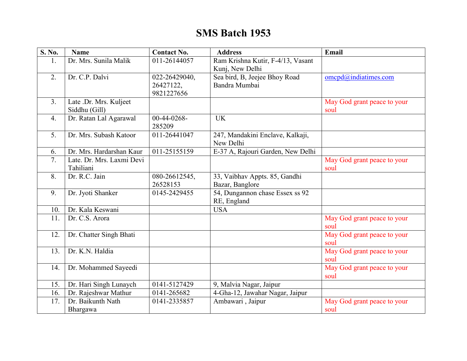## **SMS Batch 1953**

| S. No.         | <b>Name</b>               | <b>Contact No.</b>         | <b>Address</b>                    | Email                       |
|----------------|---------------------------|----------------------------|-----------------------------------|-----------------------------|
| 1.             | Dr. Mrs. Sunila Malik     | 011-26144057               | Ram Krishna Kutir, F-4/13, Vasant |                             |
|                |                           |                            | Kunj, New Delhi                   |                             |
| 2.             | Dr. C.P. Dalvi            | 022-26429040,              | Sea bird, B, Jeejee Bhoy Road     | $omcpd(a)$ indiatimes.com   |
|                |                           | 26427122,                  | Bandra Mumbai                     |                             |
|                |                           | 9821227656                 |                                   |                             |
| 3 <sub>1</sub> | Late .Dr. Mrs. Kuljeet    |                            |                                   | May God grant peace to your |
|                | Siddhu (Gill)             |                            |                                   | soul                        |
| 4.             | Dr. Ratan Lal Agarawal    | $00-44-0268-$              | <b>UK</b>                         |                             |
|                |                           | 285209                     |                                   |                             |
| 5.             | Dr. Mrs. Subash Katoor    | 011-26441047               | 247, Mandakini Enclave, Kalkaji,  |                             |
|                |                           |                            | New Delhi                         |                             |
| 6.             | Dr. Mrs. Hardarshan Kaur  | 011-25155159               | E-37 A, Rajouri Garden, New Delhi |                             |
| 7.             | Late. Dr. Mrs. Laxmi Devi |                            |                                   | May God grant peace to your |
|                | Tahiliani                 |                            |                                   | soul                        |
| 8.             | Dr. R.C. Jain             | 080-26612545,              | 33, Vaibhav Appts. 85, Gandhi     |                             |
|                |                           | 26528153                   | Bazar, Banglore                   |                             |
| 9.             | Dr. Jyoti Shanker         | $\overline{0145}$ -2429455 | 54, Dungannon chase Essex ss 92   |                             |
|                |                           |                            | RE, England                       |                             |
| 10.            | Dr. Kala Keswani          |                            | <b>USA</b>                        |                             |
| 11.            | Dr. C.S. Arora            |                            |                                   | May God grant peace to your |
|                |                           |                            |                                   | soul                        |
| 12.            | Dr. Chatter Singh Bhati   |                            |                                   | May God grant peace to your |
|                |                           |                            |                                   | soul                        |
| 13.            | Dr. K.N. Haldia           |                            |                                   | May God grant peace to your |
|                |                           |                            |                                   | soul                        |
| 14.            | Dr. Mohammed Sayeedi      |                            |                                   | May God grant peace to your |
|                |                           |                            |                                   | soul                        |
| 15.            | Dr. Hari Singh Lunaych    | 0141-5127429               | 9, Malvia Nagar, Jaipur           |                             |
| 16.            | Dr. Rajeshwar Mathur      | 0141-265682                | 4-Gha-12, Jawahar Nagar, Jaipur   |                             |
| 17.            | Dr. Baikunth Nath         | 0141-2335857               | Ambawari, Jaipur                  | May God grant peace to your |
|                | Bhargawa                  |                            |                                   | soul                        |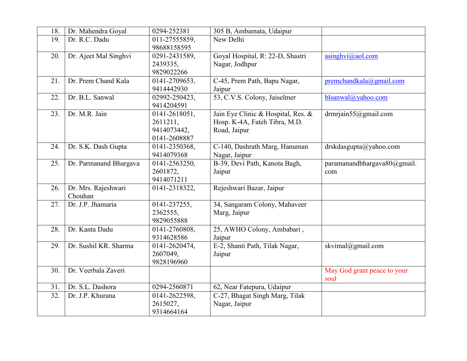| 18. | Dr. Mahendra Goyal             | 0294-252381                                              | 305 B, Ambamata, Udaipur                                                            |                                     |
|-----|--------------------------------|----------------------------------------------------------|-------------------------------------------------------------------------------------|-------------------------------------|
| 19. | Dr. R.C. Dadu                  | 011-27555859,<br>98688158595                             | New Delhi                                                                           |                                     |
| 20. | Dr. Ajeet Mal Singhvi          | 0291-2431589,<br>2439335,<br>9829022266                  | Goyal Hospital, R: 22-D, Shastri<br>Nagar, Jodhpur                                  | $a$ singhvi $(a)$ aol.com           |
| 21. | Dr. Prem Chand Kala            | 0141-2709653,<br>9414442930                              | C-45, Prem Path, Bapu Nagar,<br>Jaipur                                              | premchandkala@gmail.com             |
| 22. | Dr. B.L. Sanwal                | 02992-250423,<br>9414204591                              | 53, C.V.S. Colony, Jaiselmer                                                        | blsanwal@yahoo.com                  |
| 23. | Dr. M.R. Jain                  | 0141-2618051,<br>2611211,<br>9414073442,<br>0141-2608887 | Jain Eye Clinic & Hospital, Res. &<br>Hosp. K-4A, Fateh Tibra, M.D.<br>Road, Jaipur | drmrjain $55@g$ mail.com            |
| 24. | Dr. S.K. Dash Gupta            | 0141-2350368,<br>9414079368                              | C-140, Dashrath Marg, Hanuman<br>Nagar, Jaipur                                      | drskdasgupta@yahoo.com              |
| 25. | Dr. Parmanand Bhargava         | 0141-2563250,<br>2601872,<br>9414071211                  | B-39, Devi Path, Kanota Bagh,<br>Jaipur                                             | paramanandbhargava80@gmail.<br>com  |
| 26. | Dr. Mrs. Rajeshwari<br>Chouhan | 0141-2318322,                                            | Rejeshwari Bazar, Jaipur                                                            |                                     |
| 27. | Dr. J.P. Jhamaria              | 0141-237255,<br>2362555.<br>9829055888                   | 34, Sangaram Colony, Mahaveer<br>Marg, Jaipur                                       |                                     |
| 28. | Dr. Kanta Dadu                 | 0141-2760808,<br>9314628586                              | 25, AWHO Colony, Ambabari,<br>Jaipur                                                |                                     |
| 29. | Dr. Sushil KR. Sharma          | 0141-2620474,<br>2607049,<br>9828196960                  | E-2, Shanti Path, Tilak Nagar,<br>Jaipur                                            | skvimal@gmail.com                   |
| 30. | Dr. Veerbala Zaveri            |                                                          |                                                                                     | May God grant peace to your<br>soul |
| 31. | Dr. S.L. Dashora               | 0294-2560871                                             | 62, Near Fatepura, Udaipur                                                          |                                     |
| 32. | Dr. J.P. Khurana               | 0141-2622598,<br>2615027,<br>9314664164                  | C-27, Bhagat Singh Marg, Tilak<br>Nagar, Jaipur                                     |                                     |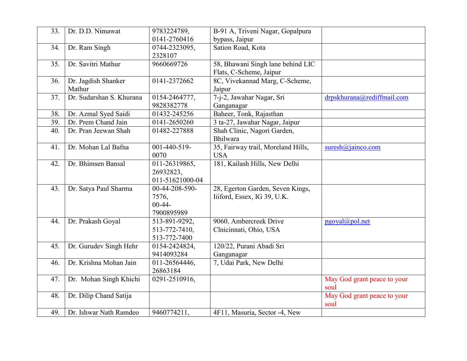| $\overline{33}$ . | Dr. D.D. Nimawat         | 9783224789,     | B-91 A, Triveni Nagar, Gopalpura   |                             |
|-------------------|--------------------------|-----------------|------------------------------------|-----------------------------|
|                   |                          | 0141-2760416    | bypass, Jaipur                     |                             |
| 34.               | Dr. Ram Singh            | 0744-2323095,   | Sation Road, Kota                  |                             |
|                   |                          | 2328107         |                                    |                             |
| 35.               | Dr. Savitri Mathur       | 9660669726      | 58, Bhawani Singh lane behind LIC  |                             |
|                   |                          |                 | Flats, C-Scheme, Jaipur            |                             |
| 36.               | Dr. Jagdish Shanker      | 0141-2372662    | 8C, Vivekannad Marg, C-Scheme,     |                             |
|                   | Mathur                   |                 | Jaipur                             |                             |
| 37.               | Dr. Sudarshan S. Khurana | 0154-2464777,   | 7-j-2, Jawahar Nagar, Sri          | drpskhurana@rediffmail.com  |
|                   |                          | 9828382778      | Ganganagar                         |                             |
| 38.               | Dr. Azmal Syed Saidi     | 01432-245256    | Baheer, Tonk, Rajasthan            |                             |
| 39.               | Dr. Prem Chand Jain      | 0141-2650260    | 3 ta-27, Jawahar Nagar, Jaipur     |                             |
| 40.               | Dr. Pran Jeewan Shah     | 01482-227888    | Shah Clinic, Nagori Garden,        |                             |
|                   |                          |                 | <b>Bhilwara</b>                    |                             |
| 41.               | Dr. Mohan Lal Bafna      | 001-440-519-    | 35, Fairway trail, Moreland Hills, | $suresh(a)$ jainco.com      |
|                   |                          | 0070            | <b>USA</b>                         |                             |
| 42.               | Dr. Bhimsen Bansal       | 011-26319865,   | 181, Kailash Hills, New Delhi      |                             |
|                   |                          | 26932823,       |                                    |                             |
|                   |                          | 011-51621000-04 |                                    |                             |
| 43.               | Dr. Satya Paul Sharma    | 00-44-208-590-  | 28, Egerton Garden, Seven Kings,   |                             |
|                   |                          | 7576,           | Iiiford, Essex, IG 39, U.K.        |                             |
|                   |                          | $00 - 44 -$     |                                    |                             |
|                   |                          | 7900895989      |                                    |                             |
| 44.               | Dr. Prakash Goyal        | 513-891-9292,   | 9060, Ambercreek Drive             | pgoyal@pol.net              |
|                   |                          | 513-772-7410,   | Clnicinnati, Ohio, USA             |                             |
|                   |                          | 513-772-7400    |                                    |                             |
| 45.               | Dr. Gurudev Singh Hehr   | 0154-2424824,   | 120/22, Purani Abadi Sri           |                             |
|                   |                          | 9414093284      | Ganganagar                         |                             |
| 46.               | Dr. Krishna Mohan Jain   | 011-26564446,   | 7, Udai Park, New Delhi            |                             |
|                   |                          | 26863184        |                                    |                             |
| 47.               | Dr. Mohan Singh Khichi   | 0291-2510916,   |                                    | May God grant peace to your |
|                   |                          |                 |                                    | soul                        |
| 48.               | Dr. Dilip Chand Satija   |                 |                                    | May God grant peace to your |
|                   |                          |                 |                                    | soul                        |
| 49.               | Dr. Ishwar Nath Ramdeo   | 9460774211.     | 4F11, Masuria, Sector -4, New      |                             |